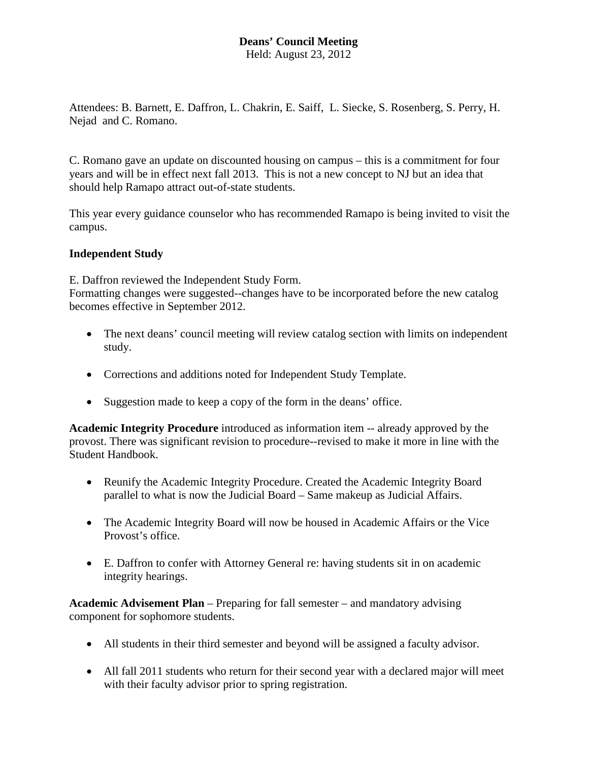## **Deans' Council Meeting**

Held: August 23, 2012

Attendees: B. Barnett, E. Daffron, L. Chakrin, E. Saiff, L. Siecke, S. Rosenberg, S. Perry, H. Nejad and C. Romano.

C. Romano gave an update on discounted housing on campus – this is a commitment for four years and will be in effect next fall 2013. This is not a new concept to NJ but an idea that should help Ramapo attract out-of-state students.

This year every guidance counselor who has recommended Ramapo is being invited to visit the campus.

## **Independent Study**

E. Daffron reviewed the Independent Study Form.

Formatting changes were suggested--changes have to be incorporated before the new catalog becomes effective in September 2012.

- The next deans' council meeting will review catalog section with limits on independent study.
- Corrections and additions noted for Independent Study Template.
- Suggestion made to keep a copy of the form in the deans' office.

**Academic Integrity Procedure** introduced as information item -- already approved by the provost. There was significant revision to procedure--revised to make it more in line with the Student Handbook.

- Reunify the Academic Integrity Procedure. Created the Academic Integrity Board parallel to what is now the Judicial Board – Same makeup as Judicial Affairs.
- The Academic Integrity Board will now be housed in Academic Affairs or the Vice Provost's office.
- E. Daffron to confer with Attorney General re: having students sit in on academic integrity hearings.

**Academic Advisement Plan** – Preparing for fall semester – and mandatory advising component for sophomore students.

- All students in their third semester and beyond will be assigned a faculty advisor.
- All fall 2011 students who return for their second year with a declared major will meet with their faculty advisor prior to spring registration.